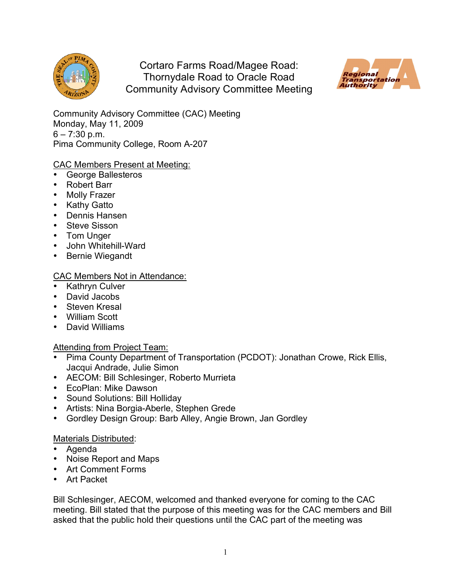

Cortaro Farms Road/Magee Road: Thornydale Road to Oracle Road Community Advisory Committee Meeting



Community Advisory Committee (CAC) Meeting Monday, May 11, 2009  $6 - 7:30$  p.m. Pima Community College, Room A-207

## CAC Members Present at Meeting:

- George Ballesteros
- Robert Barr
- Molly Frazer
- Kathy Gatto
- Dennis Hansen
- Steve Sisson
- Tom Unger
- John Whitehill-Ward
- Bernie Wiegandt

## CAC Members Not in Attendance:

- Kathryn Culver
- David Jacobs
- Steven Kresal
- William Scott
- David Williams

## Attending from Project Team:

- Pima County Department of Transportation (PCDOT): Jonathan Crowe, Rick Ellis, Jacqui Andrade, Julie Simon
- AECOM: Bill Schlesinger, Roberto Murrieta
- EcoPlan: Mike Dawson
- Sound Solutions: Bill Holliday
- Artists: Nina Borgia-Aberle, Stephen Grede
- Gordley Design Group: Barb Alley, Angie Brown, Jan Gordley

## Materials Distributed:

- Agenda
- Noise Report and Maps
- Art Comment Forms
- Art Packet

Bill Schlesinger, AECOM, welcomed and thanked everyone for coming to the CAC meeting. Bill stated that the purpose of this meeting was for the CAC members and Bill asked that the public hold their questions until the CAC part of the meeting was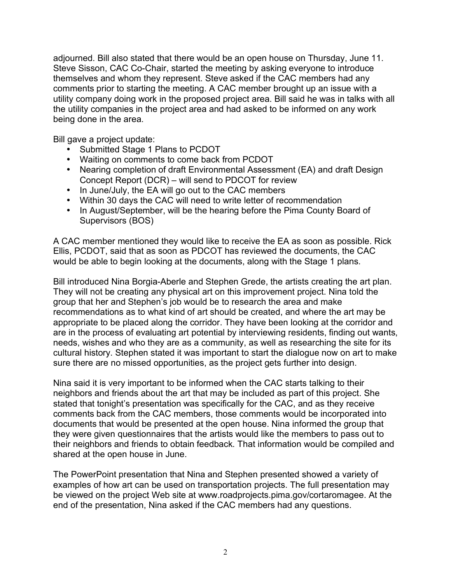adjourned. Bill also stated that there would be an open house on Thursday, June 11. Steve Sisson, CAC Co-Chair, started the meeting by asking everyone to introduce themselves and whom they represent. Steve asked if the CAC members had any comments prior to starting the meeting. A CAC member brought up an issue with a utility company doing work in the proposed project area. Bill said he was in talks with all the utility companies in the project area and had asked to be informed on any work being done in the area.

Bill gave a project update:

- Submitted Stage 1 Plans to PCDOT
- Waiting on comments to come back from PCDOT
- Nearing completion of draft Environmental Assessment (EA) and draft Design Concept Report (DCR) – will send to PDCOT for review
- In June/July, the EA will go out to the CAC members
- Within 30 days the CAC will need to write letter of recommendation
- In August/September, will be the hearing before the Pima County Board of Supervisors (BOS)

A CAC member mentioned they would like to receive the EA as soon as possible. Rick Ellis, PCDOT, said that as soon as PDCOT has reviewed the documents, the CAC would be able to begin looking at the documents, along with the Stage 1 plans.

Bill introduced Nina Borgia-Aberle and Stephen Grede, the artists creating the art plan. They will not be creating any physical art on this improvement project. Nina told the group that her and Stephen's job would be to research the area and make recommendations as to what kind of art should be created, and where the art may be appropriate to be placed along the corridor. They have been looking at the corridor and are in the process of evaluating art potential by interviewing residents, finding out wants, needs, wishes and who they are as a community, as well as researching the site for its cultural history. Stephen stated it was important to start the dialogue now on art to make sure there are no missed opportunities, as the project gets further into design.

Nina said it is very important to be informed when the CAC starts talking to their neighbors and friends about the art that may be included as part of this project. She stated that tonight's presentation was specifically for the CAC, and as they receive comments back from the CAC members, those comments would be incorporated into documents that would be presented at the open house. Nina informed the group that they were given questionnaires that the artists would like the members to pass out to their neighbors and friends to obtain feedback. That information would be compiled and shared at the open house in June.

The PowerPoint presentation that Nina and Stephen presented showed a variety of examples of how art can be used on transportation projects. The full presentation may be viewed on the project Web site at www.roadprojects.pima.gov/cortaromagee. At the end of the presentation, Nina asked if the CAC members had any questions.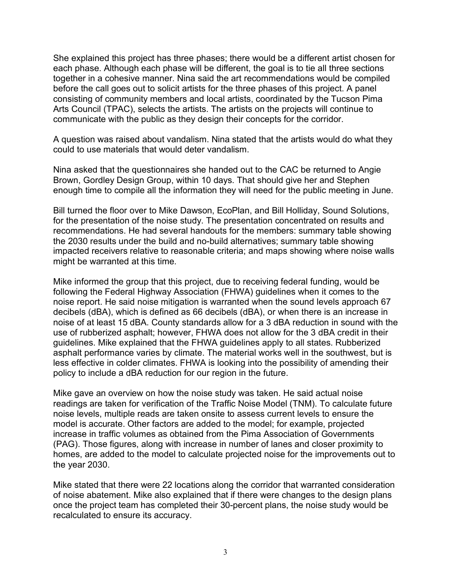She explained this project has three phases; there would be a different artist chosen for each phase. Although each phase will be different, the goal is to tie all three sections together in a cohesive manner. Nina said the art recommendations would be compiled before the call goes out to solicit artists for the three phases of this project. A panel consisting of community members and local artists, coordinated by the Tucson Pima Arts Council (TPAC), selects the artists. The artists on the projects will continue to communicate with the public as they design their concepts for the corridor.

A question was raised about vandalism. Nina stated that the artists would do what they could to use materials that would deter vandalism.

Nina asked that the questionnaires she handed out to the CAC be returned to Angie Brown, Gordley Design Group, within 10 days. That should give her and Stephen enough time to compile all the information they will need for the public meeting in June.

Bill turned the floor over to Mike Dawson, EcoPlan, and Bill Holliday, Sound Solutions, for the presentation of the noise study. The presentation concentrated on results and recommendations. He had several handouts for the members: summary table showing the 2030 results under the build and no-build alternatives; summary table showing impacted receivers relative to reasonable criteria; and maps showing where noise walls might be warranted at this time.

Mike informed the group that this project, due to receiving federal funding, would be following the Federal Highway Association (FHWA) guidelines when it comes to the noise report. He said noise mitigation is warranted when the sound levels approach 67 decibels (dBA), which is defined as 66 decibels (dBA), or when there is an increase in noise of at least 15 dBA. County standards allow for a 3 dBA reduction in sound with the use of rubberized asphalt; however, FHWA does not allow for the 3 dBA credit in their guidelines. Mike explained that the FHWA guidelines apply to all states. Rubberized asphalt performance varies by climate. The material works well in the southwest, but is less effective in colder climates. FHWA is looking into the possibility of amending their policy to include a dBA reduction for our region in the future.

Mike gave an overview on how the noise study was taken. He said actual noise readings are taken for verification of the Traffic Noise Model (TNM). To calculate future noise levels, multiple reads are taken onsite to assess current levels to ensure the model is accurate. Other factors are added to the model; for example, projected increase in traffic volumes as obtained from the Pima Association of Governments (PAG). Those figures, along with increase in number of lanes and closer proximity to homes, are added to the model to calculate projected noise for the improvements out to the year 2030.

Mike stated that there were 22 locations along the corridor that warranted consideration of noise abatement. Mike also explained that if there were changes to the design plans once the project team has completed their 30-percent plans, the noise study would be recalculated to ensure its accuracy.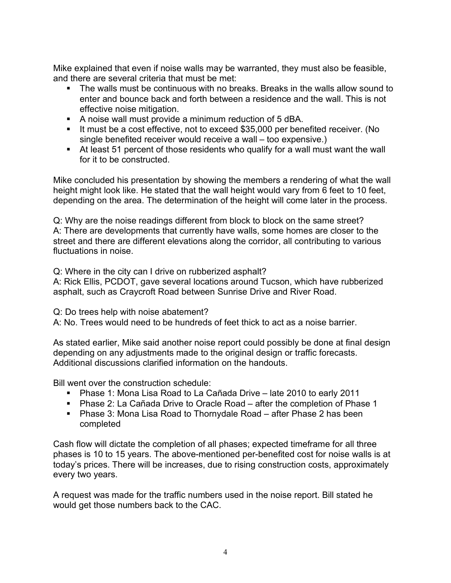Mike explained that even if noise walls may be warranted, they must also be feasible, and there are several criteria that must be met:

- The walls must be continuous with no breaks. Breaks in the walls allow sound to enter and bounce back and forth between a residence and the wall. This is not effective noise mitigation.
- A noise wall must provide a minimum reduction of 5 dBA.
- It must be a cost effective, not to exceed \$35,000 per benefited receiver. (No single benefited receiver would receive a wall – too expensive.)
- At least 51 percent of those residents who qualify for a wall must want the wall for it to be constructed.

Mike concluded his presentation by showing the members a rendering of what the wall height might look like. He stated that the wall height would vary from 6 feet to 10 feet, depending on the area. The determination of the height will come later in the process.

Q: Why are the noise readings different from block to block on the same street? A: There are developments that currently have walls, some homes are closer to the street and there are different elevations along the corridor, all contributing to various fluctuations in noise.

Q: Where in the city can I drive on rubberized asphalt?

A: Rick Ellis, PCDOT, gave several locations around Tucson, which have rubberized asphalt, such as Craycroft Road between Sunrise Drive and River Road.

Q: Do trees help with noise abatement?

A: No. Trees would need to be hundreds of feet thick to act as a noise barrier.

As stated earlier, Mike said another noise report could possibly be done at final design depending on any adjustments made to the original design or traffic forecasts. Additional discussions clarified information on the handouts.

Bill went over the construction schedule:

- Phase 1: Mona Lisa Road to La Cañada Drive late 2010 to early 2011
- Phase 2: La Cañada Drive to Oracle Road after the completion of Phase 1
- Phase 3: Mona Lisa Road to Thornydale Road after Phase 2 has been completed

Cash flow will dictate the completion of all phases; expected timeframe for all three phases is 10 to 15 years. The above-mentioned per-benefited cost for noise walls is at today's prices. There will be increases, due to rising construction costs, approximately every two years.

A request was made for the traffic numbers used in the noise report. Bill stated he would get those numbers back to the CAC.